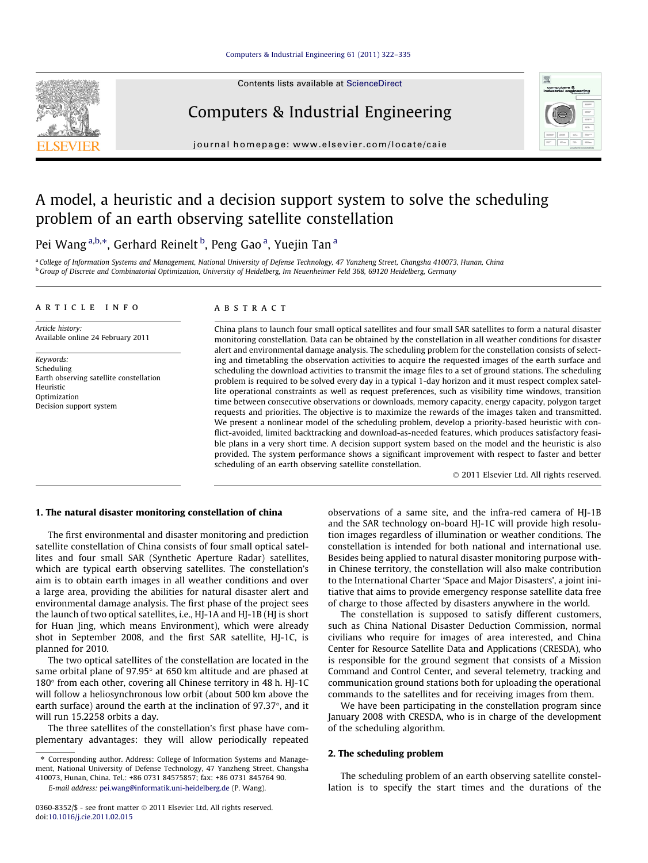## [Computers & Industrial Engineering 61 \(2011\) 322–335](http://dx.doi.org/10.1016/j.cie.2011.02.015)

Contents lists available at [ScienceDirect](http://www.sciencedirect.com/science/journal/03608352)



Computers & Industrial Engineering



journal homepage: [www.elsevier.com/locate/caie](http://www.elsevier.com/locate/caie)

## A model, a heuristic and a decision support system to solve the scheduling problem of an earth observing satellite constellation

Pei Wang <sup>a,b,</sup>\*, Gerhard Reinelt <sup>b</sup>, Peng Gao <sup>a</sup>, Yuejin Tan <sup>a</sup>

a College of Information Systems and Management, National University of Defense Technology, 47 Yanzheng Street, Changsha 410073, Hunan, China <sup>b</sup> Group of Discrete and Combinatorial Optimization, University of Heidelberg, Im Neuenheimer Feld 368, 69120 Heidelberg, Germany

#### article info

Article history: Available online 24 February 2011

Keywords: Scheduling Earth observing satellite constellation Heuristic Optimization Decision support system

#### ABSTRACT

China plans to launch four small optical satellites and four small SAR satellites to form a natural disaster monitoring constellation. Data can be obtained by the constellation in all weather conditions for disaster alert and environmental damage analysis. The scheduling problem for the constellation consists of selecting and timetabling the observation activities to acquire the requested images of the earth surface and scheduling the download activities to transmit the image files to a set of ground stations. The scheduling problem is required to be solved every day in a typical 1-day horizon and it must respect complex satellite operational constraints as well as request preferences, such as visibility time windows, transition time between consecutive observations or downloads, memory capacity, energy capacity, polygon target requests and priorities. The objective is to maximize the rewards of the images taken and transmitted. We present a nonlinear model of the scheduling problem, develop a priority-based heuristic with conflict-avoided, limited backtracking and download-as-needed features, which produces satisfactory feasible plans in a very short time. A decision support system based on the model and the heuristic is also provided. The system performance shows a significant improvement with respect to faster and better scheduling of an earth observing satellite constellation.

- 2011 Elsevier Ltd. All rights reserved.

## 1. The natural disaster monitoring constellation of china

The first environmental and disaster monitoring and prediction satellite constellation of China consists of four small optical satellites and four small SAR (Synthetic Aperture Radar) satellites, which are typical earth observing satellites. The constellation's aim is to obtain earth images in all weather conditions and over a large area, providing the abilities for natural disaster alert and environmental damage analysis. The first phase of the project sees the launch of two optical satellites, i.e., HJ-1A and HJ-1B (HJ is short for Huan Jing, which means Environment), which were already shot in September 2008, and the first SAR satellite, HJ-1C, is planned for 2010.

The two optical satellites of the constellation are located in the same orbital plane of  $97.95^{\circ}$  at 650 km altitude and are phased at  $180^\circ$  from each other, covering all Chinese territory in 48 h. HJ-1C will follow a heliosynchronous low orbit (about 500 km above the earth surface) around the earth at the inclination of  $97.37^{\circ}$ , and it will run 15.2258 orbits a day.

The three satellites of the constellation's first phase have complementary advantages: they will allow periodically repeated

⇑ Corresponding author. Address: College of Information Systems and Management, National University of Defense Technology, 47 Yanzheng Street, Changsha

410073, Hunan, China. Tel.: +86 0731 84575857; fax: +86 0731 845764 90. E-mail address: [pei.wang@informatik.uni-heidelberg.de](mailto:pei.wang@informatik.uni-heidelberg.de) (P. Wang).

0360-8352/\$ - see front matter © 2011 Elsevier Ltd. All rights reserved. doi:[10.1016/j.cie.2011.02.015](http://dx.doi.org/10.1016/j.cie.2011.02.015)

observations of a same site, and the infra-red camera of HJ-1B and the SAR technology on-board HJ-1C will provide high resolution images regardless of illumination or weather conditions. The constellation is intended for both national and international use. Besides being applied to natural disaster monitoring purpose within Chinese territory, the constellation will also make contribution to the International Charter 'Space and Major Disasters', a joint initiative that aims to provide emergency response satellite data free of charge to those affected by disasters anywhere in the world.

The constellation is supposed to satisfy different customers, such as China National Disaster Deduction Commission, normal civilians who require for images of area interested, and China Center for Resource Satellite Data and Applications (CRESDA), who is responsible for the ground segment that consists of a Mission Command and Control Center, and several telemetry, tracking and communication ground stations both for uploading the operational commands to the satellites and for receiving images from them.

We have been participating in the constellation program since January 2008 with CRESDA, who is in charge of the development of the scheduling algorithm.

## 2. The scheduling problem

The scheduling problem of an earth observing satellite constellation is to specify the start times and the durations of the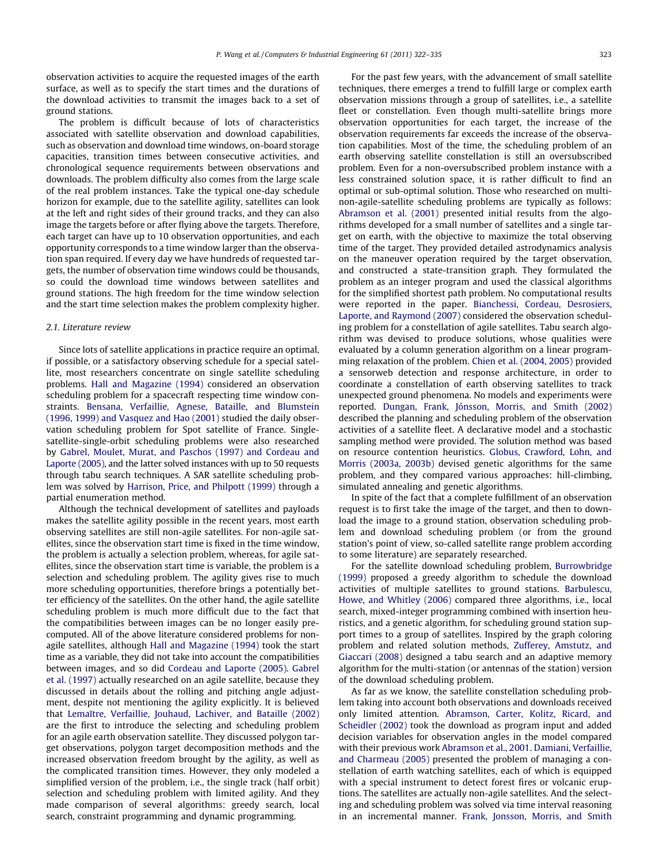observation activities to acquire the requested images of the earth surface, as well as to specify the start times and the durations of the download activities to transmit the images back to a set of ground stations.

The problem is difficult because of lots of characteristics associated with satellite observation and download capabilities, such as observation and download time windows, on-board storage capacities, transition times between consecutive activities, and chronological sequence requirements between observations and downloads. The problem difficulty also comes from the large scale of the real problem instances. Take the typical one-day schedule horizon for example, due to the satellite agility, satellites can look at the left and right sides of their ground tracks, and they can also image the targets before or after flying above the targets. Therefore, each target can have up to 10 observation opportunities, and each opportunity corresponds to a time window larger than the observation span required. If every day we have hundreds of requested targets, the number of observation time windows could be thousands, so could the download time windows between satellites and ground stations. The high freedom for the time window selection and the start time selection makes the problem complexity higher.

## 2.1. Literature review

Since lots of satellite applications in practice require an optimal, if possible, or a satisfactory observing schedule for a special satellite, most researchers concentrate on single satellite scheduling problems. [Hall and Magazine \(1994\)](#page--1-0) considered an observation scheduling problem for a spacecraft respecting time window constraints. [Bensana, Verfaillie, Agnese, Bataille, and Blumstein](#page--1-0) [\(1996, 1999\) and Vasquez and Hao \(2001\)](#page--1-0) studied the daily observation scheduling problem for Spot satellite of France. Singlesatellite-single-orbit scheduling problems were also researched by [Gabrel, Moulet, Murat, and Paschos \(1997\) and Cordeau and](#page--1-0) [Laporte \(2005\),](#page--1-0) and the latter solved instances with up to 50 requests through tabu search techniques. A SAR satellite scheduling problem was solved by [Harrison, Price, and Philpott \(1999\)](#page--1-0) through a partial enumeration method.

Although the technical development of satellites and payloads makes the satellite agility possible in the recent years, most earth observing satellites are still non-agile satellites. For non-agile satellites, since the observation start time is fixed in the time window, the problem is actually a selection problem, whereas, for agile satellites, since the observation start time is variable, the problem is a selection and scheduling problem. The agility gives rise to much more scheduling opportunities, therefore brings a potentially better efficiency of the satellites. On the other hand, the agile satellite scheduling problem is much more difficult due to the fact that the compatibilities between images can be no longer easily precomputed. All of the above literature considered problems for nonagile satellites, although [Hall and Magazine \(1994\)](#page--1-0) took the start time as a variable, they did not take into account the compatibilities between images, and so did [Cordeau and Laporte \(2005\)](#page--1-0). [Gabrel](#page--1-0) [et al. \(1997\)](#page--1-0) actually researched on an agile satellite, because they discussed in details about the rolling and pitching angle adjustment, despite not mentioning the agility explicitly. It is believed that Lemaītre, Verfaillie, Jouhaud, Lachiver, and Bataille (2002) are the first to introduce the selecting and scheduling problem for an agile earth observation satellite. They discussed polygon target observations, polygon target decomposition methods and the increased observation freedom brought by the agility, as well as the complicated transition times. However, they only modeled a simplified version of the problem, i.e., the single track (half orbit) selection and scheduling problem with limited agility. And they made comparison of several algorithms: greedy search, local search, constraint programming and dynamic programming.

For the past few years, with the advancement of small satellite techniques, there emerges a trend to fulfill large or complex earth observation missions through a group of satellites, i.e., a satellite fleet or constellation. Even though multi-satellite brings more observation opportunities for each target, the increase of the observation requirements far exceeds the increase of the observation capabilities. Most of the time, the scheduling problem of an earth observing satellite constellation is still an oversubscribed problem. Even for a non-oversubscribed problem instance with a less constrained solution space, it is rather difficult to find an optimal or sub-optimal solution. Those who researched on multinon-agile-satellite scheduling problems are typically as follows: [Abramson et al. \(2001\)](#page--1-0) presented initial results from the algorithms developed for a small number of satellites and a single target on earth, with the objective to maximize the total observing time of the target. They provided detailed astrodynamics analysis on the maneuver operation required by the target observation, and constructed a state-transition graph. They formulated the problem as an integer program and used the classical algorithms for the simplified shortest path problem. No computational results were reported in the paper. [Bianchessi, Cordeau, Desrosiers,](#page--1-0) [Laporte, and Raymond \(2007\)](#page--1-0) considered the observation scheduling problem for a constellation of agile satellites. Tabu search algorithm was devised to produce solutions, whose qualities were evaluated by a column generation algorithm on a linear programming relaxation of the problem. [Chien et al. \(2004, 2005\)](#page--1-0) provided a sensorweb detection and response architecture, in order to coordinate a constellation of earth observing satellites to track unexpected ground phenomena. No models and experiments were reported. [Dungan, Frank, Jónsson, Morris, and Smith \(2002\)](#page--1-0) described the planning and scheduling problem of the observation activities of a satellite fleet. A declarative model and a stochastic sampling method were provided. The solution method was based on resource contention heuristics. [Globus, Crawford, Lohn, and](#page--1-0) [Morris \(2003a, 2003b\)](#page--1-0) devised genetic algorithms for the same problem, and they compared various approaches: hill-climbing, simulated annealing and genetic algorithms.

In spite of the fact that a complete fulfillment of an observation request is to first take the image of the target, and then to download the image to a ground station, observation scheduling problem and download scheduling problem (or from the ground station's point of view, so-called satellite range problem according to some literature) are separately researched.

For the satellite download scheduling problem, [Burrowbridge](#page--1-0) [\(1999\)](#page--1-0) proposed a greedy algorithm to schedule the download activities of multiple satellites to ground stations. [Barbulescu,](#page--1-0) [Howe, and Whitley \(2006\)](#page--1-0) compared three algorithms, i.e., local search, mixed-integer programming combined with insertion heuristics, and a genetic algorithm, for scheduling ground station support times to a group of satellites. Inspired by the graph coloring problem and related solution methods, [Zufferey, Amstutz, and](#page--1-0) [Giaccari \(2008\)](#page--1-0) designed a tabu search and an adaptive memory algorithm for the multi-station (or antennas of the station) version of the download scheduling problem.

As far as we know, the satellite constellation scheduling problem taking into account both observations and downloads received only limited attention. [Abramson, Carter, Kolitz, Ricard, and](#page--1-0) [Scheidler \(2002\)](#page--1-0) took the download as program input and added decision variables for observation angles in the model compared with their previous work [Abramson et al., 2001](#page--1-0). [Damiani, Verfaillie,](#page--1-0) [and Charmeau \(2005\)](#page--1-0) presented the problem of managing a constellation of earth watching satellites, each of which is equipped with a special instrument to detect forest fires or volcanic eruptions. The satellites are actually non-agile satellites. And the selecting and scheduling problem was solved via time interval reasoning in an incremental manner. [Frank, Jonsson, Morris, and Smith](#page--1-0)